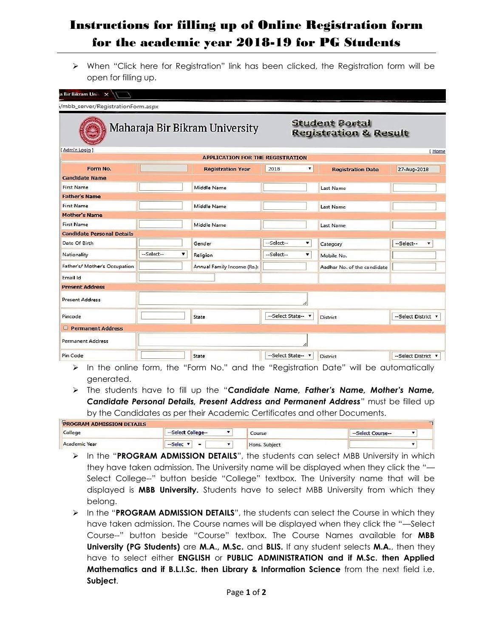## Instructions for filling up of Online Registration form for the academic year 2018-19 for PG Students

 When "Click here for Registration" link has been clicked, the Registration form will be open for filling up.

| a Bir Bikram Unit X                |            |   |                                         |                    |    |                                                           |                     |
|------------------------------------|------------|---|-----------------------------------------|--------------------|----|-----------------------------------------------------------|---------------------|
| i/mbb_server/RegistrationForm.aspx |            |   |                                         |                    |    |                                                           |                     |
|                                    |            |   | Maharaja Bir Bikram University          |                    |    | <b>Student Portal</b><br><b>Registration &amp; Result</b> |                     |
| [Admin Login]                      |            |   | <b>APPLICATION FOR THE REGISTRATION</b> |                    |    |                                                           | [ Home              |
| Form No.                           |            |   | <b>Registration Year</b>                | 2018               | Y  | <b>Registration Date</b>                                  | 27-Aug-2018         |
| <b>Candidate Name</b>              |            |   |                                         |                    |    |                                                           |                     |
| <b>First Name</b>                  |            |   | Middle Name                             |                    |    | Last Name                                                 |                     |
| <b>Father's Name</b>               |            |   |                                         |                    |    |                                                           |                     |
| <b>First Name</b>                  |            |   | Middle Name                             |                    |    | Last Name                                                 |                     |
| <b>Mother's Name</b>               |            |   |                                         |                    |    |                                                           |                     |
| First Name                         |            |   | Middle Name                             |                    |    | Last Name                                                 |                     |
| <b>Candidate Personal Details</b>  |            |   |                                         |                    |    |                                                           |                     |
| Date Of Birth                      |            |   | Gender                                  | --Select--         | ۷  | Category                                                  | --Select--<br>۳     |
| Nationality                        | --Select-- | ۷ | Religion                                | --Select--         | ۷. | Mobile No.                                                |                     |
| Father's/ Mother's Occupation      |            |   | Annual Family Income (Rs.):             |                    |    | Aadhar No. of the candidate                               |                     |
| Email Id                           |            |   |                                         |                    |    |                                                           |                     |
| <b>Present Address</b>             |            |   |                                         |                    |    |                                                           |                     |
| <b>Present Address</b>             |            |   |                                         |                    |    |                                                           |                     |
| Pincode                            |            |   | State                                   | --Select State-- v |    | <b>District</b>                                           | --Select District v |
| <b>Permanent Address</b><br>$\Box$ |            |   |                                         |                    |    |                                                           |                     |
| <b>Permanent Address</b>           |            |   |                                         |                    |    |                                                           |                     |
| Pin Code                           |            |   | State                                   | --Select State-- v |    | <b>District</b>                                           | --Select District v |

- $\triangleright$  In the online form, the "Form No." and the "Registration Date" will be automatically generated.
- The students have to fill up the "*Candidate Name, Father's Name, Mother's Name, Candidate Personal Details, Present Address and Permanent Address*" must be filled up by the Candidates as per their Academic Certificates and other Documents.

| <b>PROGRAM ADMISSION DETAILS</b> |                     |               |                  |  |  |
|----------------------------------|---------------------|---------------|------------------|--|--|
| College                          | -Select College-    | Course        | -Select Course-- |  |  |
| Academic Year                    | $-$ Selec $\bullet$ | Hons. Subject |                  |  |  |

- **EX** In the "**PROGRAM ADMISSION DETAILS**", the students can select MBB University in which they have taken admission. The University name will be displayed when they click the "— Select College--" button beside "College" textbox. The University name that will be displayed is **MBB University.** Students have to select MBB University from which they belong.
- > In the "PROGRAM ADMISSION DETAILS", the students can select the Course in which they have taken admission. The Course names will be displayed when they click the "—Select Course--" button beside "Course" textbox. The Course Names available for **MBB University (PG Students)** are **M.A., M.Sc.** and **BLIS.** If any student selects **M.A.**, then they have to select either **ENGLISH** or **PUBLIC ADMINISTRATION and if M.Sc. then Applied Mathematics and if B.L.I.Sc. then Library & Information Science** from the next field i.e. **Subject**.